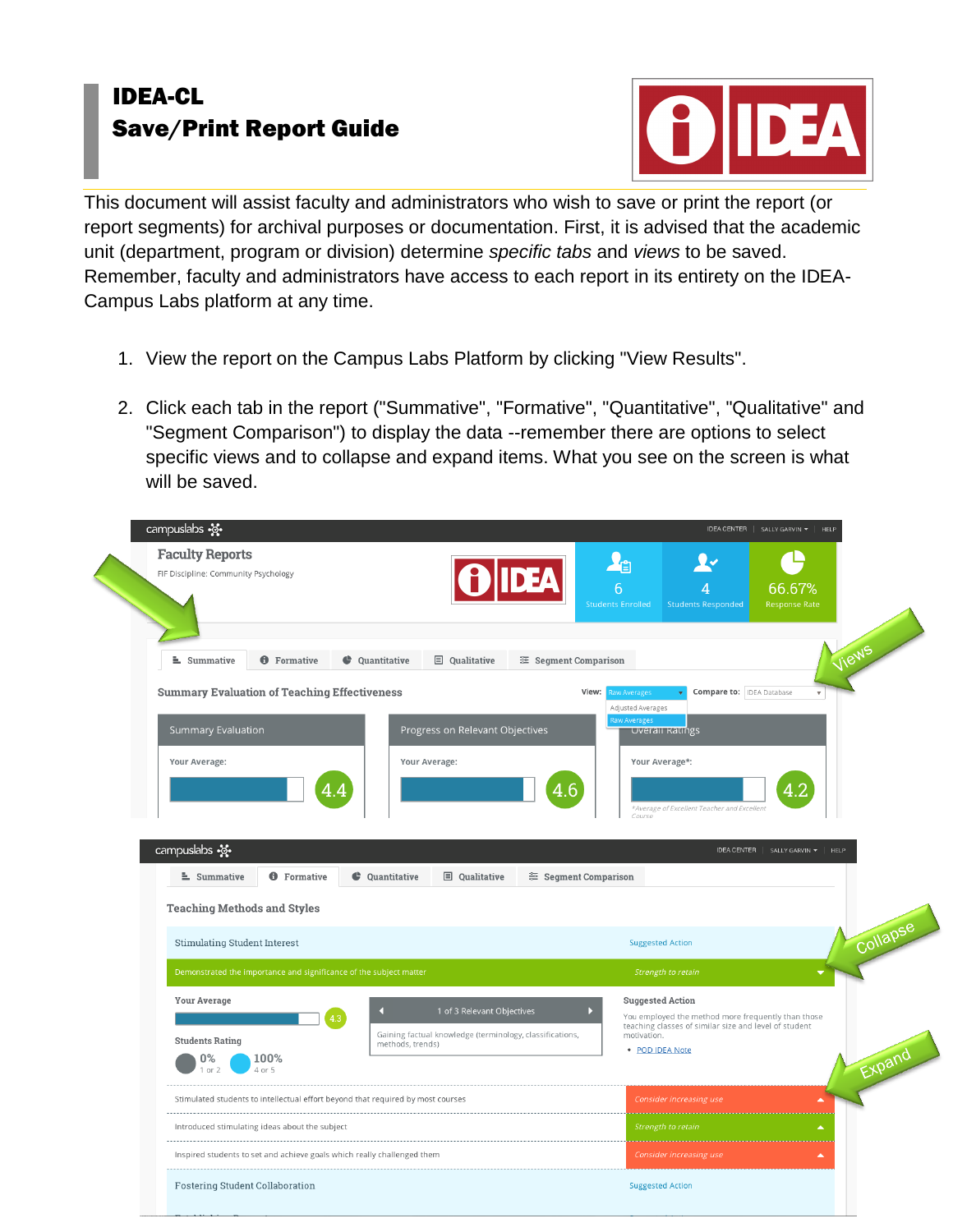## IDEA-CL Save/Print Report Guide



This document will assist faculty and administrators who wish to save or print the report (or report segments) for archival purposes or documentation. First, it is advised that the academic unit (department, program or division) determine *specific tabs* and *views* to be saved. Remember, faculty and administrators have access to each report in its entirety on the IDEA-Campus Labs platform at any time.

- 1. View the report on the Campus Labs Platform by clicking "View Results".
- 2. Click each tab in the report ("Summative", "Formative", "Quantitative", "Qualitative" and "Segment Comparison") to display the data --remember there are options to select specific views and to collapse and expand items. What you see on the screen is what will be saved.

| <b>Faculty Reports</b><br>FIF Discipline: Community Psychology                                                                                                                                                |                                                                                                                                                                                                                                      |  |
|---------------------------------------------------------------------------------------------------------------------------------------------------------------------------------------------------------------|--------------------------------------------------------------------------------------------------------------------------------------------------------------------------------------------------------------------------------------|--|
|                                                                                                                                                                                                               | ła<br>6<br>66.67%<br>4<br><b>Students Enrolled</b><br><b>Response Rate</b><br><b>Students Responded</b>                                                                                                                              |  |
| summative<br><b>O</b> Formative<br><b>C</b> Quantitative<br><b>国</b> Qualitative<br>Segment Comparison                                                                                                        | Views                                                                                                                                                                                                                                |  |
| <b>Summary Evaluation of Teaching Effectiveness</b><br>Summary Evaluation<br>Progress on Relevant Objectives<br>Your Average:<br>Your Average:<br>4.6<br>4.                                                   | View:<br><b>Compare to: IDEA Database</b><br>law Averages<br>$\overline{\mathbf{v}}$<br>Adjusted Averages<br>aw Averages<br><b>Overall Ratings</b><br>Your Average*:<br>4.2<br>*Average of Excellent Teacher and Excellent<br>Course |  |
| campuslabs -<br><b>O</b> Formative<br>$\equiv$ Summative<br>C Ouantitative<br><b>□</b> Oualitative<br><sup>≈</sup> Segment Comparison<br><b>Teaching Methods and Styles</b>                                   | IDEA CENTER   SALLY GARVIN ▼   HELP                                                                                                                                                                                                  |  |
| <b>Stimulating Student Interest</b>                                                                                                                                                                           | Collapse<br><b>Suggested Action</b>                                                                                                                                                                                                  |  |
| Demonstrated the importance and significance of the subject matter                                                                                                                                            | Strength to retain                                                                                                                                                                                                                   |  |
| <b>Your Average</b><br>1 of 3 Relevant Objectives<br>n<br>4.3<br>Gaining factual knowledge (terminology, classifications,<br><b>Students Rating</b><br>methods, trends)<br>100%<br>0%<br>4 or 5<br>$1$ or $2$ | <b>Suggested Action</b><br>You employed the method more frequently than those<br>teaching classes of similar size and level of student<br>motivation.<br>Expand<br>· POD IDEA Note                                                   |  |
| Stimulated students to intellectual effort beyond that required by most courses                                                                                                                               | Consider increasing use<br>$\blacktriangle$<br>Strength to retain<br>$\blacktriangle$                                                                                                                                                |  |
|                                                                                                                                                                                                               |                                                                                                                                                                                                                                      |  |
| Introduced stimulating ideas about the subject                                                                                                                                                                |                                                                                                                                                                                                                                      |  |
| Inspired students to set and achieve goals which really challenged them                                                                                                                                       | Consider increasing use<br>$\blacktriangle$                                                                                                                                                                                          |  |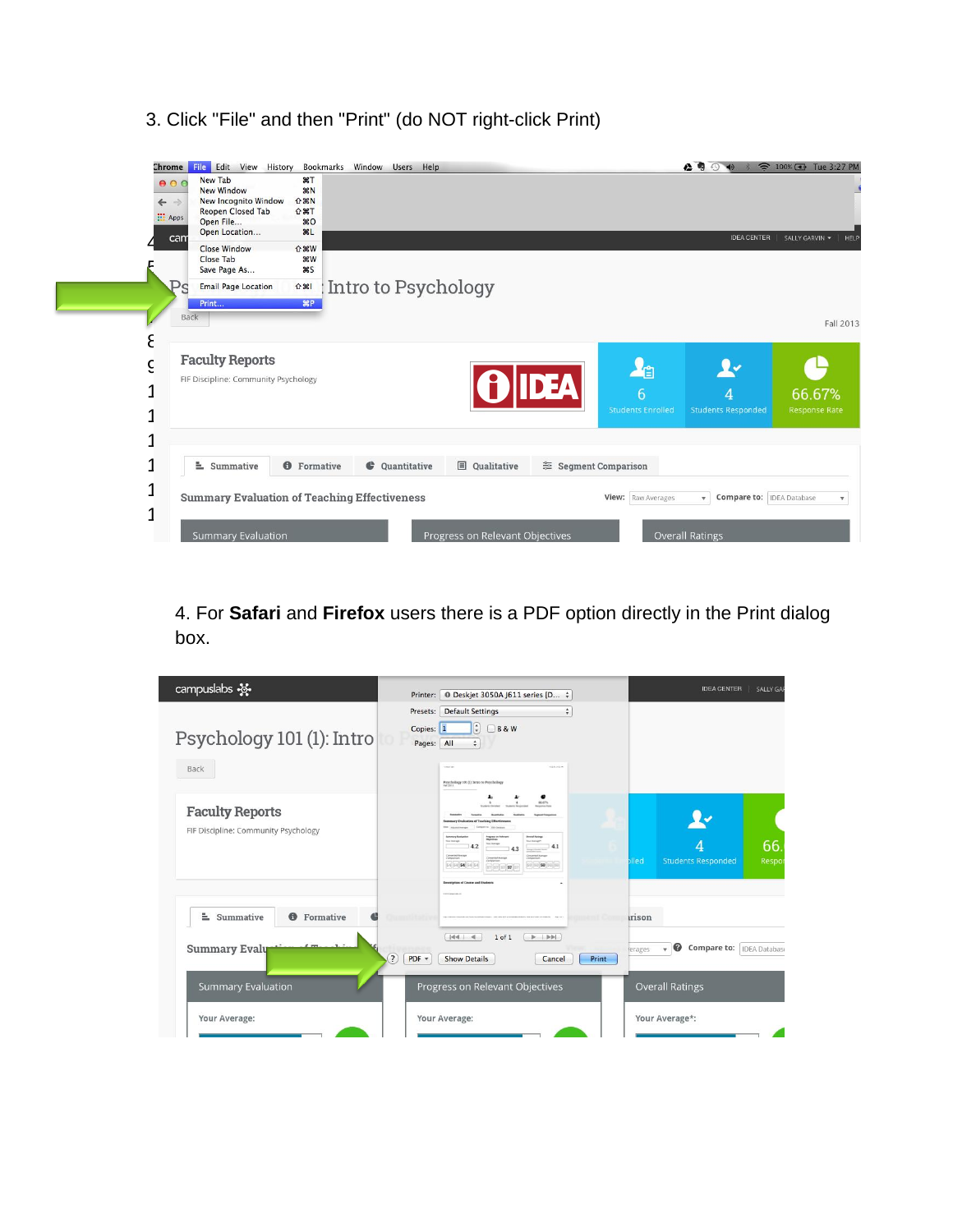3. Click "File" and then "Print" (do NOT right-click Print)



4. For **Safari** and **Firefox** users there is a PDF option directly in the Print dialog box.

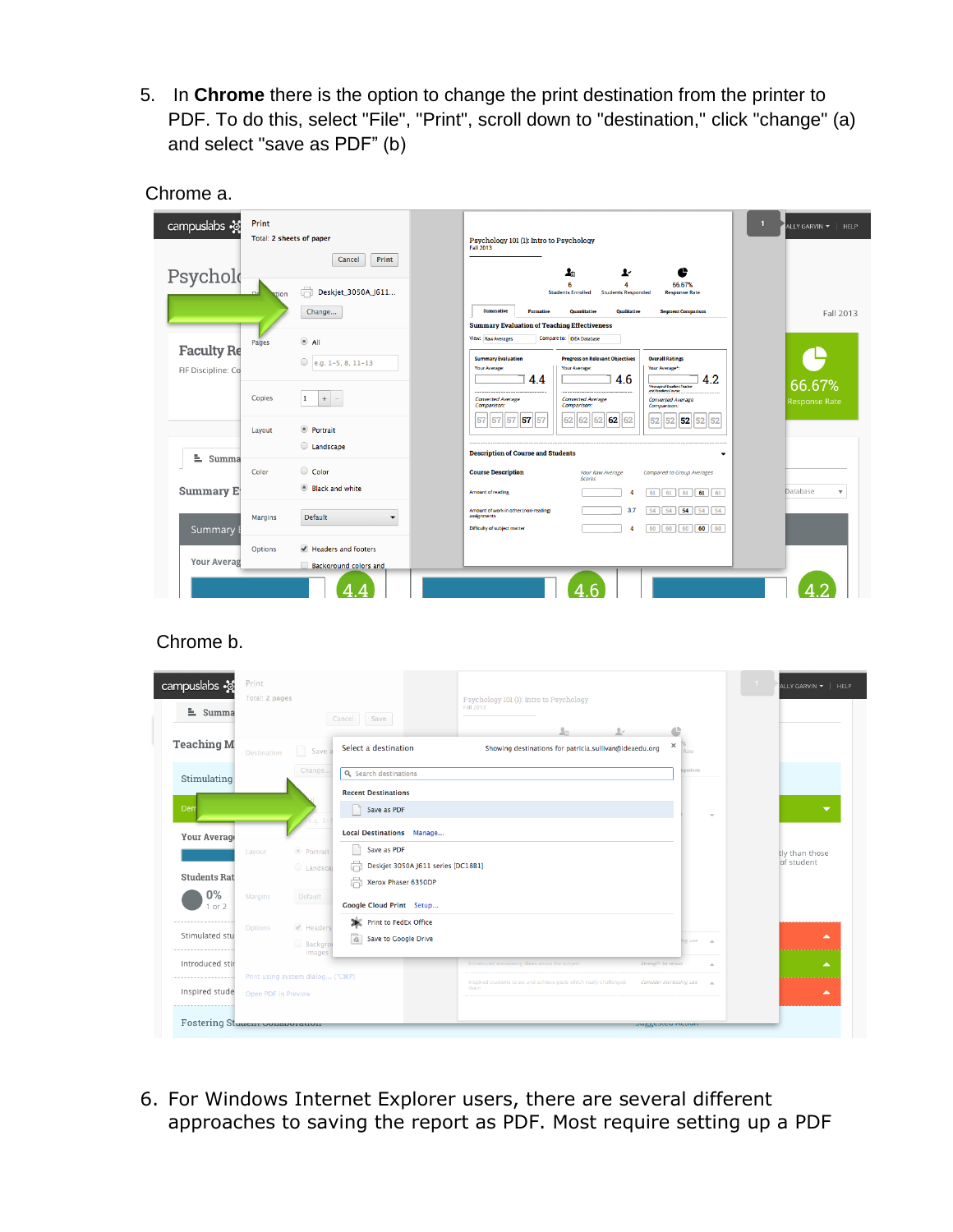5. In **Chrome** there is the option to change the print destination from the printer to PDF. To do this, select "File", "Print", scroll down to "destination," click "change" (a) and select "save as PDF" (b)

| campuslabs $\cdot$ s<br>Psycholo |                | Total: 2 sheets of paper<br>Print<br>Cancel         | Psychology 101 (1): Intro to Psychology<br><b>Fall 2013</b><br>e<br>ŀ<br>ے.<br>ا                                                                                                                                                                                                                    |
|----------------------------------|----------------|-----------------------------------------------------|-----------------------------------------------------------------------------------------------------------------------------------------------------------------------------------------------------------------------------------------------------------------------------------------------------|
|                                  | ation          | Ġ.<br>Deskjet_3050A_J611                            | 66.67%<br>6<br>$\boldsymbol{A}$<br><b>Students Enrolled</b><br><b>Students Responded</b><br><b>Response Rate</b>                                                                                                                                                                                    |
|                                  |                | Change                                              | Summative<br><b>Qualitative</b><br>Formative<br><b>Ouantitative</b><br><b>Segment Comparison</b><br>Fall 2013                                                                                                                                                                                       |
| <b>Faculty Re</b>                | Pages          | $^{\circ}$ All<br>$\circ$<br>e.g. 1-5, 8, 11-13     | <b>Summary Evaluation of Teaching Effectiveness</b><br>Compare to: DEA Database<br><b>View: Raw Averages</b><br><b>Summary Evaluation</b><br><b>Progress on Relevant Objectives</b><br><b>Overall Ratings</b>                                                                                       |
| FIF Discipline: Co               | <b>Copies</b>  | 1<br>$+$ $-$                                        | Your Average:<br>Your Average:<br>Your Average*:<br>4.6<br>4.2<br>4.4<br>66.67%<br>Monage of Excellent Teacher<br>and Excellent Course<br><br><b>Converted Average</b><br><b>Converted Average</b><br><b>Converted Average</b><br><b>Response Rate</b><br>Comparison:<br>Comparison:<br>Comparison: |
| $\equiv$ Summa                   | Layout         | <sup>●</sup> Portrait<br>Landscape                  | 57 57<br>62<br>62<br>52<br>52<br>57<br>62<br>62<br>52<br>57<br>62<br>52<br>52<br><b>Description of Course and Students</b><br>$\overline{\phantom{a}}$                                                                                                                                              |
|                                  | Color          | Color                                               | <b>Course Description</b><br><b>Compared to Group Averages</b><br>Your Raw Average                                                                                                                                                                                                                  |
| Summary E                        |                | Black and white                                     | <b>Scores</b><br>Database<br><b>Amount of reading</b><br>$61$ 61 61<br>$\overline{\mathbf{v}}$<br>61<br>61<br>4                                                                                                                                                                                     |
| Summary                          | <b>Margins</b> | <b>Default</b><br>$\mathbf{r}$                      | 54 54<br>Amount of work in other (non-reading)<br>3.7<br>54<br>54<br>54<br>assignments<br>60<br>Difficulty of subject matter<br>60<br>60<br>60<br>60<br>4                                                                                                                                           |
| Your Averag                      | Options        | Headers and footers<br><b>Background colors and</b> |                                                                                                                                                                                                                                                                                                     |

## Chrome a.

## Chrome b.

| campuslabs ·&<br>$\equiv$ Summa | Print<br>Total: 2 pages |                                      | Save<br>Cancel                                                      | Psychology 101 (1): Intro to Psychology<br>Fall 2013                       |                         | ALLY GARVIN =   HELP         |
|---------------------------------|-------------------------|--------------------------------------|---------------------------------------------------------------------|----------------------------------------------------------------------------|-------------------------|------------------------------|
| <b>Teaching M</b>               | Destination             | Save a                               | Select a destination                                                | $2 -$<br>Showing destinations for patricia.sullivan@ideaedu.org            | ×                       |                              |
| Stimulating                     |                         | Change                               | Q Search destinations<br><b>Recent Destinations</b>                 |                                                                            | nparison                |                              |
| Den                             |                         |                                      | Save as PDF                                                         |                                                                            |                         | $\overline{\phantom{a}}$     |
| Your Average                    |                         |                                      | <b>Local Destinations Manage</b><br>Save as PDF                     |                                                                            |                         |                              |
| <b>Students Rat</b><br>$0\%$    | Layout<br>Margins       | © Portrait<br>C Landscal<br>Default  | ä<br>Deskjet 3050A J611 series [DC18B1]<br>ä<br>Xerox Phaser 6350DP |                                                                            |                         | tly than those<br>of student |
| 1 or 2<br>Stimulated stu        | Options                 | $\mathcal{I}$ Headers                | Google Cloud Print Setup<br>Print to FedEx Office<br>ж              |                                                                            |                         | ▲                            |
| Introduced stir                 |                         | <b>Backgrot</b><br>images            | Save to Google Drive<br>$\delta \Delta$                             | Introduced stimulating ideas about the subject<br>Strength to retain       | ng use<br>$\Delta$      | $\blacktriangle$             |
| Inspired stude                  | Open PDF in Preview     | Print using system dialog ( \ \ & R) |                                                                     | Inspired students to set and achieve goals which really challenged<br>them | Consider increasing use | ▲                            |
| Fostering Stuuent Conaporation  |                         |                                      |                                                                     | <b>JURRESTEU METE</b>                                                      |                         |                              |

6. For Windows Internet Explorer users, there are several different approaches to saving the report as PDF. Most require setting up a PDF